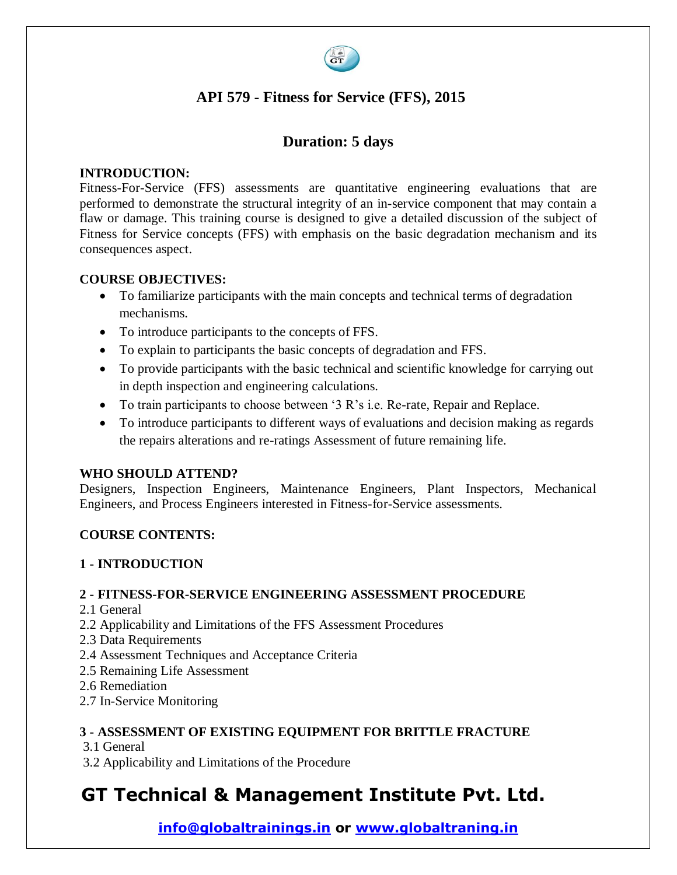

# **API 579 - Fitness for Service (FFS), 2015**

# **Duration: 5 days**

### **INTRODUCTION:**

Fitness-For-Service (FFS) assessments are quantitative engineering evaluations that are performed to demonstrate the structural integrity of an in-service component that may contain a flaw or damage. This training course is designed to give a detailed discussion of the subject of Fitness for Service concepts (FFS) with emphasis on the basic degradation mechanism and its consequences aspect.

#### **COURSE OBJECTIVES:**

- To familiarize participants with the main concepts and technical terms of degradation mechanisms.
- To introduce participants to the concepts of FFS.
- To explain to participants the basic concepts of degradation and FFS.
- To provide participants with the basic technical and scientific knowledge for carrying out in depth inspection and engineering calculations.
- To train participants to choose between '3 R's i.e. Re-rate, Repair and Replace.
- To introduce participants to different ways of evaluations and decision making as regards the repairs alterations and re-ratings Assessment of future remaining life.

#### **WHO SHOULD ATTEND?**

Designers, Inspection Engineers, Maintenance Engineers, Plant Inspectors, Mechanical Engineers, and Process Engineers interested in Fitness-for-Service assessments.

#### **COURSE CONTENTS:**

#### **1 - INTRODUCTION**

#### **2 - FITNESS-FOR-SERVICE ENGINEERING ASSESSMENT PROCEDURE**

- 2.1 General
- 2.2 Applicability and Limitations of the FFS Assessment Procedures
- 2.3 Data Requirements
- 2.4 Assessment Techniques and Acceptance Criteria
- 2.5 Remaining Life Assessment
- 2.6 Remediation
- 2.7 In-Service Monitoring

# **3 - ASSESSMENT OF EXISTING EQUIPMENT FOR BRITTLE FRACTURE**

- 3.1 General
- 3.2 Applicability and Limitations of the Procedure

# **GT Technical & Management Institute Pvt. Ltd.**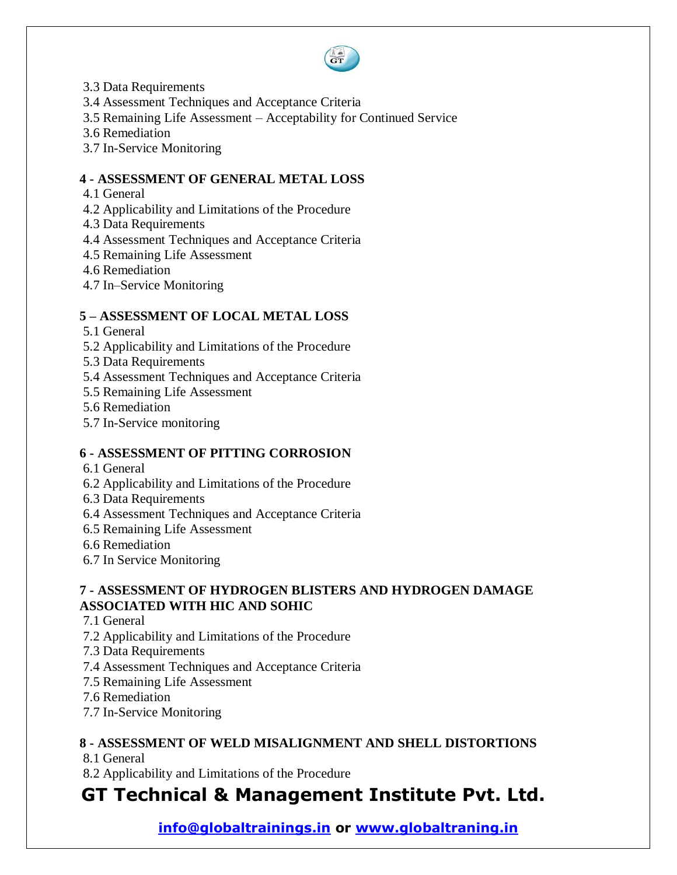

- 3.3 Data Requirements
- 3.4 Assessment Techniques and Acceptance Criteria
- 3.5 Remaining Life Assessment Acceptability for Continued Service
- 3.6 Remediation
- 3.7 In-Service Monitoring

#### **4 - ASSESSMENT OF GENERAL METAL LOSS**

- 4.1 General
- 4.2 Applicability and Limitations of the Procedure
- 4.3 Data Requirements
- 4.4 Assessment Techniques and Acceptance Criteria
- 4.5 Remaining Life Assessment
- 4.6 Remediation
- 4.7 In–Service Monitoring

#### **5 – ASSESSMENT OF LOCAL METAL LOSS**

- 5.1 General
- 5.2 Applicability and Limitations of the Procedure
- 5.3 Data Requirements
- 5.4 Assessment Techniques and Acceptance Criteria
- 5.5 Remaining Life Assessment
- 5.6 Remediation
- 5.7 In-Service monitoring

#### **6 - ASSESSMENT OF PITTING CORROSION**

- 6.1 General
- 6.2 Applicability and Limitations of the Procedure
- 6.3 Data Requirements
- 6.4 Assessment Techniques and Acceptance Criteria
- 6.5 Remaining Life Assessment
- 6.6 Remediation
- 6.7 In Service Monitoring

#### **7 - ASSESSMENT OF HYDROGEN BLISTERS AND HYDROGEN DAMAGE ASSOCIATED WITH HIC AND SOHIC**

- 7.1 General
- 7.2 Applicability and Limitations of the Procedure
- 7.3 Data Requirements
- 7.4 Assessment Techniques and Acceptance Criteria
- 7.5 Remaining Life Assessment
- 7.6 Remediation
- 7.7 In-Service Monitoring

# **8 - ASSESSMENT OF WELD MISALIGNMENT AND SHELL DISTORTIONS**

- 8.1 General
- 8.2 Applicability and Limitations of the Procedure

# **GT Technical & Management Institute Pvt. Ltd.**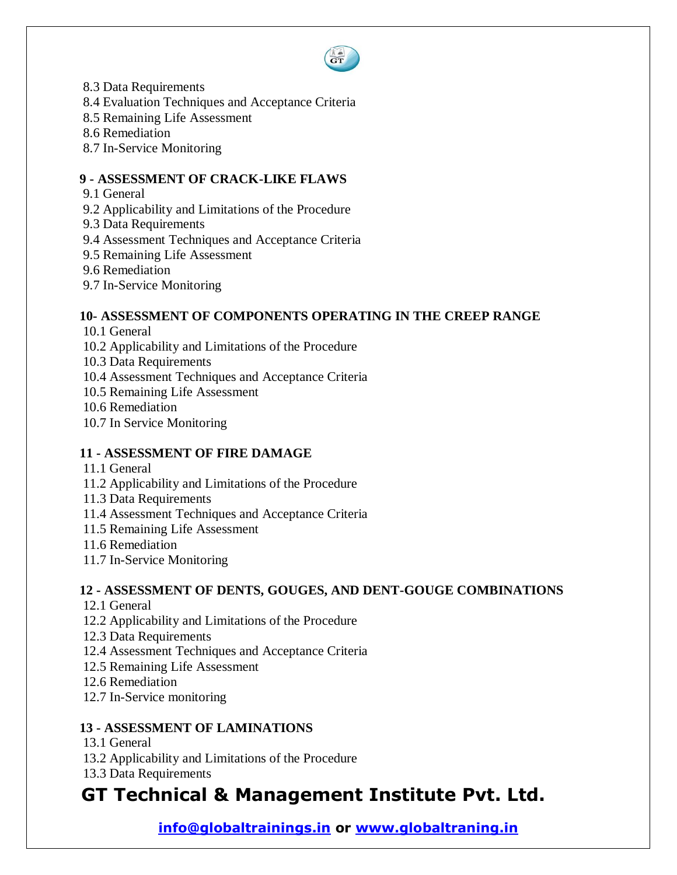

- 8.3 Data Requirements
- 8.4 Evaluation Techniques and Acceptance Criteria
- 8.5 Remaining Life Assessment
- 8.6 Remediation
- 8.7 In-Service Monitoring

# **9 - ASSESSMENT OF CRACK-LIKE FLAWS**

- 9.1 General
- 9.2 Applicability and Limitations of the Procedure
- 9.3 Data Requirements
- 9.4 Assessment Techniques and Acceptance Criteria
- 9.5 Remaining Life Assessment
- 9.6 Remediation
- 9.7 In-Service Monitoring

#### **10- ASSESSMENT OF COMPONENTS OPERATING IN THE CREEP RANGE**

- 10.1 General
- 10.2 Applicability and Limitations of the Procedure
- 10.3 Data Requirements
- 10.4 Assessment Techniques and Acceptance Criteria
- 10.5 Remaining Life Assessment
- 10.6 Remediation
- 10.7 In Service Monitoring

# **11 - ASSESSMENT OF FIRE DAMAGE**

- 11.1 General
- 11.2 Applicability and Limitations of the Procedure
- 11.3 Data Requirements
- 11.4 Assessment Techniques and Acceptance Criteria
- 11.5 Remaining Life Assessment
- 11.6 Remediation
- 11.7 In-Service Monitoring

# **12 - ASSESSMENT OF DENTS, GOUGES, AND DENT-GOUGE COMBINATIONS**

- 12.1 General
- 12.2 Applicability and Limitations of the Procedure
- 12.3 Data Requirements
- 12.4 Assessment Techniques and Acceptance Criteria
- 12.5 Remaining Life Assessment
- 12.6 Remediation
- 12.7 In-Service monitoring

# **13 - ASSESSMENT OF LAMINATIONS**

- 13.1 General
- 13.2 Applicability and Limitations of the Procedure
- 13.3 Data Requirements

# **GT Technical & Management Institute Pvt. Ltd.**